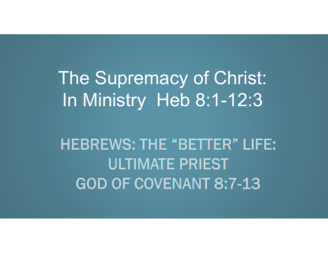# The Supremacy of Christ: In Ministry Heb 8:1-12:3

# **HEBREWS: THE "BETTER" LIFE: ULTIMATE PRIEST GOD OF COVENANT 8:7-13**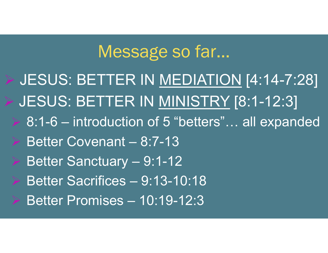# Message so far…

- Message so far...<br>> JESUS: BETTER IN <u>MEDIATION</u> [4:14-7:28]<br>> JESUS: BETTER IN <u>MINISTRY</u> [8:1-12:3] Message so far...<br>
> JESUS: BETTER IN <u>MEDIATION</u> [4:14-7:28]<br>
> JESUS: BETTER IN <u>MINISTRY</u> [8:1-12:3]<br>
> 8:1-6 – introduction of 5 "betters"... all expanded Message so far...<br>BESUS: BETTER IN <u>MEDIATION</u> [4:14-7:28]<br>BESUS: BETTER IN <u>MINISTRY</u> [8:1-12:3]<br>BETTER IN MINISTRY [8:1-12:3]<br>Better Covenant – 8:7-13 Message so far...<br>BESUS: BETTER IN <u>MEDIATION</u> [4:14 - JESUS: BETTER IN <u>MINISTRY</u> [8:1-12<br>BESUS: BETTER IN <u>MINISTRY</u> [8:1-12<br>Better Covenant – 8:7-13<br>Better Sanctuary – 9:1-12 THESTRET IN MEDIATION [4:14<br>- JESUS: BETTER IN <u>MEDIATION</u> [4:14<br>- States: BETTER IN MINISTRY [8:1-12<br>- 8:1-6 – introduction of 5 "betters"... all exp<br>- Better Covenant – 8:7-13<br>- Better Sacrifices – 9:13-10:18 Better IV MEDIATION [4:14<br>
BESUS: BETTER IN MINISTRY [8:1-12<br>
Better Covenant – 8:7-13<br>
Better Covenant – 8:7-13<br>
Better Sanctuary – 9:1-12<br>
Better Sacrifices – 9:13-10:18<br>
Better Promises – 10:19-12:3
	- JESUS: BETTER IN <u>MINISTRY</u> [8:1-1:<br>
	≻ 8:1-6 introduction of 5 "betters"... all ex<br>
	≻ Better Covenant 8:7-13<br>
	≻ Better Sanctuary 9:1-12<br>
	≻ Better Sacrifices 9:13-10:18<br>
	≻ Better Promises 10:19-12:3
	-
	-
	-
	-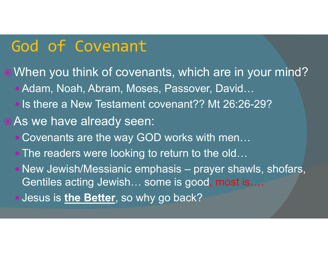## God of Covenant

When you think of covenants, which are in your mind? ● Adam, Noah, Abram, Moses, Passover, David... • Is there a New Testament covenant?? Mt 26:26-29? **• As we have already seen:**  Covenants are the way GOD works with men… . The readers were looking to return to the old... When you think of covenants, which are in your mind?<br>
• Adam, Noah, Abram, Moses, Passover, David...<br>
• Is there a New Testament covenant?? Mt 26:26-29?<br>
As we have already seen:<br>
• Covenants are the way GOD works with men Gentiles acting Jewish… some is good, most is…. Jesus is the Better, so why go back?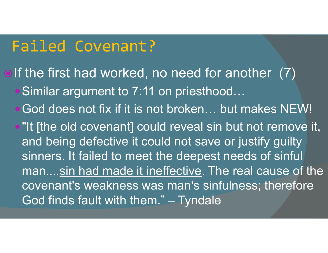# Failed Covenant?

- olf the first had worked, no need for another (7) ■ Similar argument to 7:11 on priesthood...
	- God does not fix if it is not broken… but makes NEW!
	- "It [the old covenant] could reveal sin but not remove it, and being defective it could not save or justify guilty sinners. It failed to meet the deepest needs of sinful man....sin had made it ineffective. The real cause of the covenant's weakness was man's sinfulness; therefore God does not fix if it is not broken... but makes NEW!<br>"It [the old covenant] could reveal sin but not remove if<br>and being defective it could not save or justify guilty<br>sinners. It failed to meet the deepest needs of sinfu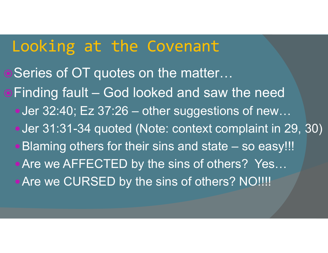### Looking at the Covenant

● Series of OT quotes on the matter... **Looking at the Covenant<br>• Series of OT quotes on the matter...<br>• Finding fault – God looked and saw the need<br>• Jer 32:40; Ez 37:26 – other suggestions of new...** Looking at the Covenant<br>Series of OT quotes on the matter...<br>Finding fault – God looked and saw the need<br>•Jer 32:40; Ez 37:26 – other suggestions of new...<br>•Jer 31:31-34 quoted (Note: context complaint in 29, 30) Looking at the Covenant<br>Series of OT quotes on the matter...<br>Finding fault – God looked and saw the need<br>• Jer 32:40; Ez 37:26 – other suggestions of new...<br>• Jer 31:31-34 quoted (Note: context complaint in 29, 30)<br>• Blami **Looking at the Covenant**<br>Series of OT quotes on the matter...<br>Finding fault – God looked and saw the need<br>•Jer 32:40; Ez 37:26 – other suggestions of new...<br>•Jer 31:31-34 quoted (Note: context complaint in 29, 30)<br>•Blamin • Are we AFFECTED by the sins of others? Yes... **Are we CURSED by the sins of others? NO!!!!!**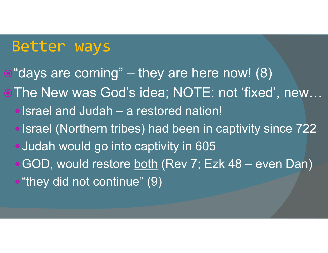#### Better ways

Retter Ways<br>The Samang" – they are here now! (8)<br>The New was God's idea; NOTE: not 'fixed', new. The New was God's idea; NOTE: not 'fixed', new… **Better ways**<br>
"days are coming" – they are here now! ({<br>The New was God's idea; NOTE: not 'fixe<br>• Israel and Judah – a restored nation!<br>• Israel (Northern tribes) had been in captivity • Israel (Northern tribes) had been in captivity since 722 • Judah would go into captivity in 605 "days are coming" – they are here now! (8)<br>The New was God's idea; NOTE: not 'fixed', new...<br>•Israel and Judah – a restored nation!<br>•Israel (Northern tribes) had been in captivity since 722<br>•Judah would go into captivity i • "they did not continue" (9)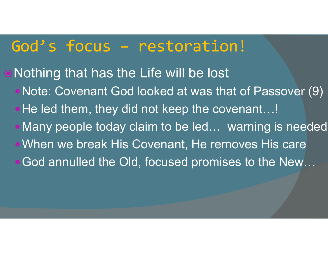God's focus – restoration!<br>Nothing that has the Life will be lost **. Nothing that has the Life will be lost** Note: Covenant God looked at was that of Passover (9) • He led them, they did not keep the covenant...! Many people today claim to be led… warning is needed When we break His Covenant, He removes His care God annulled the Old, focused promises to the New...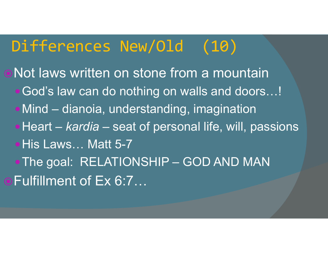# Differences New/Old (10)

Not laws written on stone from a mountain God's law can do nothing on walls and doors…! **Differences New/Old (10)**<br>Not laws written on stone from a mountain<br>• God's law can do nothing on walls and doors...!<br>• Mind – dianoia, understanding, imagination<br>• Heart – *kardia* – seat of personal life, will, passions **Differences New/Old (10)**<br>Not laws written on stone from a mountain<br>• God's law can do nothing on walls and doors...!<br>• Mind – dianoia, understanding, imagination<br>• Heart – *kardia* – seat of personal life, will, passions • His Laws... Matt 5-7 Not laws written on stone from a mountain<br>•God's law can do nothing on walls and doors...!<br>•Mind – dianoia, understanding, imagination<br>•Heart – *kardia* – seat of personal life, will, passions<br>•His Laws... Matt 5-7<br>•The go Fulfillment of Ex 6:7…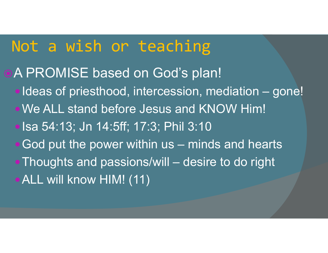### Not a wish or teaching

- **OA PROMISE based on God's plan!**
- **Vot a wish or teaching<br>A PROMISE based on God's plan!**<br>• Ideas of priesthood, intercession, mediation gone!<br>• We ALL stand before Jesus and KNOW Him! Vot a wish or teaching<br>A PROMISE based on God's plan!<br>• Ideas of priesthood, intercession, mediation – g<br>• We ALL stand before Jesus and KNOW Him!<br>• Isa 54:13; Jn 14:5ff; 17:3; Phil 3:10<br>• God put the power within us – min
	- We ALL stand before Jesus and KNOW Him!
	-
	-
- Vot a wish or teaching<br>
A PROMISE based on God's plan!<br>
 Ideas of priesthood, intercession, mediation gone!<br>
 We ALL stand before Jesus and KNOW Him!<br>
 Isa 54:13; Jn 14:5ff; 17:3; Phil 3:10<br>• God put the power within A PROMISE based on God's plan!<br>• Ideas of priesthood, intercession, mediation – gone!<br>• We ALL stand before Jesus and KNOW Him!<br>• Isa 54:13; Jn 14:5ff; 17:3; Phil 3:10<br>• God put the power within us – minds and hearts<br>• Tho ALL will know HIM! (11)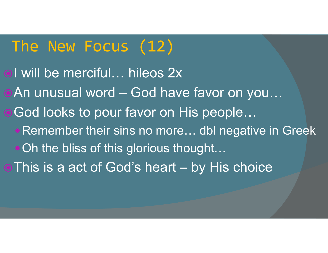# The New Focus (12)

ol will be merciful... hileos 2x • An unusual word – God have favor on you... ● God looks to pour favor on His people... • Remember their sins no more... dbl negative in Greek • Oh the bliss of this glorious thought... • This is a act of God's heart – by His choice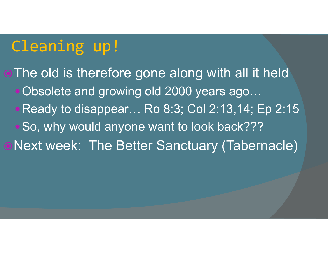# Cleaning up!

• The old is therefore gone along with all it held • Obsolete and growing old 2000 years ago... • Ready to disappear... Ro 8:3; Col 2:13,14; Ep 2:15 .So, why would anyone want to look back??? Next week: The Better Sanctuary (Tabernacle)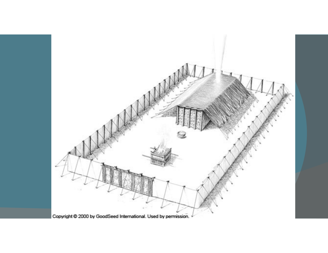